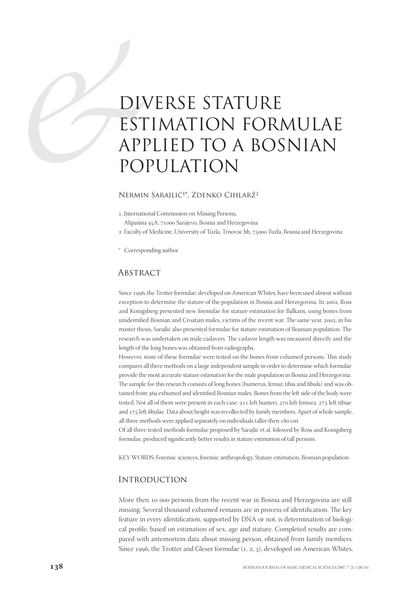# DIN<br>EST<br>API<br>PO DIVERSE STATURE ESTIMATION FORMULAE APPLIED TO A BOSNIAN POPULATION

#### Nermin Sarajlić<sup>1\*</sup>, Zdenko Cihlarž<sup>2</sup>

. International Commission on Missing Persons,

Alipašina 45A, 71000 Sarajevo, Bosnia and Herzegovina

- 2 Faculty of Medicine, University of Tuzla, Trnovac bb, 75000 Tuzla, Bosnia and Herzegovina
- \* Corresponding author

# **ABSTRACT**

Since 1996, the Trotter formulae, developed on American Whites, have been used almost without exception to determine the stature of the population in Bosnia and Herzegovina. In 2002, Ross and Konigsberg presented new formulae for stature estimation for Balkans, using bones from unidentified Bosnian and Croatian males, victims of the recent war. The same year, 2002, in his master thesis, Sarajlić also presented formulae for stature estimation of Bosnian population. The research was undertaken on male cadavers. The cadaver length was measured directly and the length of the long bones was obtained from radiographs.

However, none of these formulae were tested on the bones from exhumed persons. This study compares all three methods on a large independent sample in order to determine which formulae provide the most accurate stature estimation for the male population in Bosnia and Herzegovina. The sample for this research consists of long bones (humerus, femur, tibia and fibula) and was obtained from 369 exhumed and identified Bosnian males. Bones from the left side of the body were tested. Not all of them were present in each case:  $211$  left humeri,  $270$  left femura,  $273$  left tibiae and 175 left fibulae. Data about height was recollected by family members. Apart of whole sample, all three methods were applied separately on individuals taller then 180 cm.

Of all three tested methods formulae proposed by Sarajlić et al. folowed by Ross and Konigsberg formulae, produced significantly better results in stature estimation of tall persons.

KEY WORDS: Forensic sciences, forensic anthropology, Stature estimation, Bosnian population

#### **INTRODUCTION**

More then 10 000 persons from the recent war in Bosnia and Herzegovina are still missing. Several thousand exhumed remains are in process of identification. The key feature in every identification, supported by DNA or not, is determination of biological profile, based on estimation of sex, age and stature. Completed results are compared with antemortem data about missing person, obtained from family members. Since 1996, the Trotter and Gleser formulae (1, 2, 3), developed on American Whites,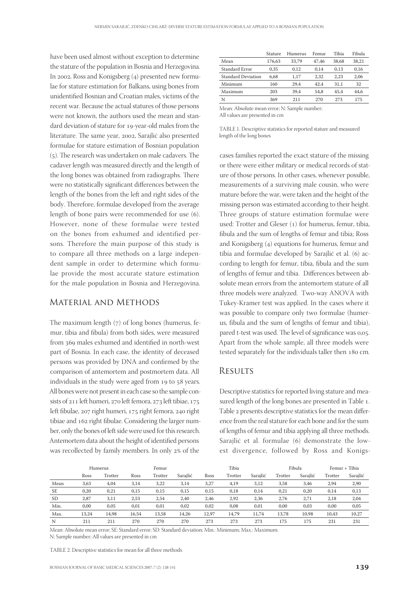have been used almost without exception to determine the stature of the population in Bosnia and Herzegovina. In 2002, Ross and Konigsberg  $(4)$  presented new formulae for stature estimation for Balkans, using bones from unidentified Bosnian and Croatian males, victims of the recent war. Because the actual statures of those persons were not known, the authors used the mean and standard deviation of stature for 19-year-old males from the literature. The same year, 2002, Sarajlić also presented formulae for stature estimation of Bosnian population  $(5)$ . The research was undertaken on male cadavers. The cadaver length was measured directly and the length of the long bones was obtained from radiographs. There were no statistically significant differences between the length of the bones from the left and right sides of the body. Therefore, formulae developed from the average length of bone pairs were recommended for use (6). However, none of these formulae were tested on the bones from exhumed and identified persons. Therefore the main purpose of this study is to compare all three methods on a large independent sample in order to determine which formulae provide the most accurate stature estimation for the male population in Bosnia and Herzegovina.

# Material and Methods

The maximum length  $(7)$  of long bones (humerus, femur, tibia and fibula) from both sides, were measured from 369 males exhumed and identified in north-west part of Bosnia. In each case, the identity of deceased persons was provided by DNA and confirmed by the comparison of antemortem and postmortem data. All individuals in the study were aged from 19 to 58 years. All bones were not present in each case so the sample consists of  $211$  left humeri,  $270$  left femora,  $273$  left tibiae,  $175$ left fibulae, 207 right humeri, 175 right femora, 240 right tibiae and 162 right fibulae. Considering the larger number, only the bones of left side were used for this research. Antemortem data about the height of identified persons was recollected by family members. In only 2% of the

|                                            | Stature | Humerus | Femur | Tibia | Fibula |  |  |
|--------------------------------------------|---------|---------|-------|-------|--------|--|--|
| Mean                                       | 176,63  | 33.79   | 47.46 | 38.68 | 38.21  |  |  |
| Standard Error                             | 0.35    | 0.12    | 0.14  | 0.13  | 0,16   |  |  |
| <b>Standard Deviation</b>                  | 6.68    | 1,17    | 2.32  | 2.23  | 2,06   |  |  |
| Minimum                                    | 160     | 29.4    | 42.4  | 31.1  | 32     |  |  |
| Maximum                                    | 203     | 39.4    | 54.8  | 45.4  | 44.6   |  |  |
| N                                          | 369     | 211     | 270   | 273   | 175    |  |  |
| Maan. Abaaluta maan aman M. Canada munkan. |         |         |       |       |        |  |  |

Mean: Absolute mean error; N: Sample number;

All values are presented in cm

TABLE 1. Descriptive statistics for reported stature and measured length of the long bones

cases families reported the exact stature of the missing or there were either military or medical records of stature of those persons. In other cases, whenever possible, measurements of a surviving male cousin, who were mature before the war, were taken and the height of the missing person was estimated according to their height. Three groups of stature estimation formulae were used: Trotter and Gleser (1) for humerus, femur, tibia, fibula and the sum of lengths of femur and tibia; Ross and Konigsberg  $(4)$  equations for humerus, femur and tibia and formulae developed by Sarajlić et al. (6) according to length for femur, tibia, fibula and the sum of lengths of femur and tibia. Differences between absolute mean errors from the antemortem stature of all three models were analyzed. Two-way ANOVA with Tukey-Kramer test was applied. In the cases where it was possible to compare only two formulae (humerus, fibula and the sum of lengths of femur and tibia), pared t-test was used. The level of significance was 0,05. Apart from the whole sample, all three models were tested separately for the individuals taller then 180 cm.

#### **RESULTS**

Descriptive statistics for reported living stature and measured length of the long bones are presented in Table 1. Table 2 presents descriptive statistics for the mean difference from the real stature for each bone and for the sum of lengths of femur and tibia applying all three methods. Sarajlić et al. formulae (6) demonstrate the lowest divergence, followed by Ross and Konigs-

|           | Humerus |         | Femur |         |          | Tibia |         | Fibula   |         | Femur + Tibia |         |          |
|-----------|---------|---------|-------|---------|----------|-------|---------|----------|---------|---------------|---------|----------|
|           | Ross    | Trotter | Ross  | Trotter | Sarajlić | Ross  | Trotter | Sarajlić | Trotter | Sarailić      | Trotter | Sarajlić |
| Mean      | 3,63    | 4,04    | 3,14  | 3,22    | 3,14     | 3,27  | 4,19    | 3,12     | 3,58    | 3,46          | 2,94    | 2,90     |
| <b>SE</b> | 0,20    | 0,21    | 0,15  | 0,15    | 0,15     | 0,15  | 0,18    | 0,14     | 0,21    | 0,20          | 0,14    | 0,13     |
| SD        | 2,87    | 3,11    | 2,53  | 2,54    | 2,40     | 2,46  | 2,92    | 2,36     | 2,76    | 2,71          | 2,18    | 2,04     |
| Min.      | 0,00    | 0,05    | 0,01  | 0,01    | 0,02     | 0,02  | 0,08    | 0,01     | 0,00    | 0,03          | 0,00    | 0,05     |
| Max.      | 13,24   | 14,98   | 16,54 | 13,58   | 14,26    | 12,97 | 14,79   | 11,74    | 13,78   | 10,98         | 10,43   | 10,27    |
| N         | 211     | 211     | 270   | 270     | 270      | 273   | 273     | 273      | 175     | 175           | 231     | 231      |

Mean: Absolute mean error; SE: Standard error; SD: Standard deviation; Min.: Minimum; Max.: Maximum; N: Sample number; All values are presented in cm

TABLE 2. Descriptive statistics for mean for all three methods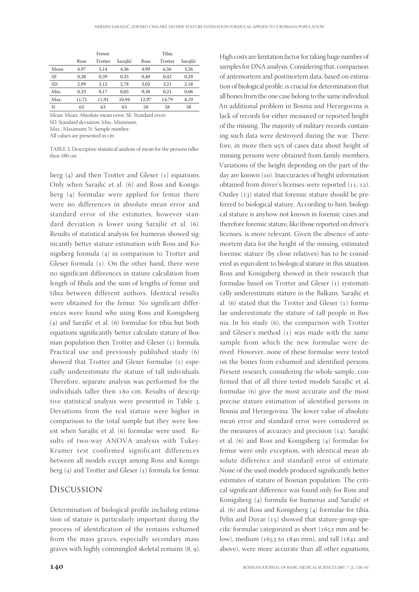High costs are limitation factor for taking huge number of samples for DNA analysis. Considering that, comparison of antemortem and postmortem data, based on estimation of biological profile, is crucial for determination that all bones from the one case belong to the same individual. An additional problem in Bosnia and Herzegovina is

|           |       | Femur   |          |       | Tibia   |          |
|-----------|-------|---------|----------|-------|---------|----------|
|           | Ross  | Trotter | Sarajlić | Ross  | Trotter | Sarajlić |
| Mean      | 4.97  | 5.14    | 4.36     | 4.99  | 6.56    | 3,26     |
| <b>SE</b> | 0.38  | 0.39    | 0.35     | 0.40  | 0.42    | 0,29     |
| <b>SD</b> | 2.99  | 3.12    | 2,78     | 3,02  | 3.21    | 2,18     |
| Min.      | 0.33  | 0,17    | 0.03     | 0,38  | 0.21    | 0,06     |
| Max.      | 11,71 | 11,92   | 10.94    | 12,97 | 14.79   | 8,19     |
| N         | 63    | 63      | 63       | 58    | 58      | 58       |
|           |       |         |          |       |         |          |

Mean: Mean: Absolute mean error; SE: Standard error; SD: Standard deviation; Min.: Minimum; Max.: Maximum; N: Sample number;

All values are presented in cm

TABLE 3. Descriptive statistical analysis of mean for the persons taller then 180 cm

berg  $(4)$  and then Trotter and Gleser  $(1)$  equations. Only when Sarajlić et al. (6) and Ross and Konigsberg  $(4)$  formulae were applied for femur there were no differences in absolute mean error and standard error of the estimates, however standard deviation is lower using Sarajlić et al. (6). Results of statistical analysis for humerus showed signicantly better stature estimation with Ross and Konigsberg formula  $(4)$  in comparison to Trotter and Gleser formula  $(1)$ . On the other hand, there were no significant differences in stature calculation from length of fibula and the sum of lengths of femur and tibia between different authors. Identical results were obtained for the femur. No significant differences were found whe using Ross and Konigsberg  $(4)$  and Sarajlić et al.  $(6)$  formulae for tibia but both equations significantly better calculate stature of Bosnian population then Trotter and Gleser  $(1)$  formula. Practical use and previously published study (6) showed that Trotter and Gleser formulae (1) especially underestimate the stature of tall individuals. Therefore, separate analysis was performed for the individuals taller then 180 cm. Results of descriptive statistical analysis were presented in Table 3. Deviations from the real stature were higher in comparison to the total sample but they were lowest when Sarajlić et al. (6) formulae were used. Results of two-way ANOVA analysis with Tukey-Kramer test confirmed significant differences between all models except among Ross and Konigsberg  $(4)$  and Trotter and Gleser  $(1)$  formula for femur.

## Discussion

Determination of biological profile including estimation of stature is particularly important during the process of identification of the remains exhumed from the mass graves, especially secondary mass graves with highly commingled skeletal remains  $(8, 9)$ .

**140** BOSNIAN JOURNAL OF BASIC MEDICAL SCIENCES 2007; 7 (2): 138-141 lack of records for either measured or reported height of the missing. The majority of military records containing such data were destroyed during the war. Therefore, in more then 95% of cases data about height of missing persons were obtained from family members. Variations of the height depending on the part of the day are known (10). Inaccuracies of height information obtained from driver's licenses were reported  $(11, 12)$ . Ousley  $(13)$  stated that forensic stature should be preferred to biological stature. According to him, biological stature is anyhow not known in forensic cases and therefore forensic stature, like those reported on driver's licenses, is more relevant. Given the absence of antemortem data for the height of the missing, estimated forensic stature (by close relatives) has to be considered as equivalent to biological stature in this situation. Ross and Konigsberg showed in their research that formulae based on Trotter and Gleser (1) systematically underestimate stature in the Balkans. Sarajlić et al.  $(6)$  stated that the Trotter and Gleser  $(1)$  formulae underestimate the stature of tall people in Bosnia. In his study  $(6)$ , the comparison with Trotter and Gleser's method  $(1)$  was made with the same sample from which the new formulae were derived. However, none of these formulae were tested on the bones from exhumed and identified persons. Present research, considering the whole sample, confirmed that of all three tested models Sarajlić et al. formulae (6) give the most accurate and the most precise stature estimation of identified persons in Bosnia and Herzegovina. The lower value of absolute mean error and standard error were considered as the measures of accuracy and precision  $(14)$ . Sarajlić et al.  $(6)$  and Ross and Konigsberg  $(4)$  formulae for femur were only exception, with identical mean absolute difference and standard error of estimate. None of the used models produced significantly better estimates of stature of Bosnian population. The critical significant difference was found only for Ross and Konigsberg (4) formula for humerus and Sarajlić et al. (6) and Ross and Konigsberg (4) formulae for tibia. Pelin and Duyar  $(15)$  showed that stature-group-specific formulae categorized as short  $(1652 \text{ mm and } be$ low), medium ( $1653$  to  $1840$  mm), and tall ( $1841$  and above), were more accurate than all other equations,